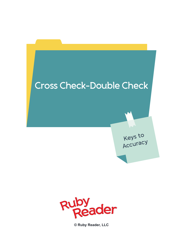



**© Ruby Reader, LLC**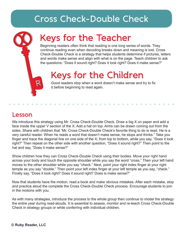### **Cross Check-Double Check**

# **Keys for the Teacher**

Beginning readers often think that reading is one long series of words. They continue reading even when decoding breaks down and meaning is lost. Cross Check-Double Check is a strategy that helps students determine if pictures, letters and words make sense and align with what is on the page. Teach children to ask the questions: "Does it sound right? Does it look right? Does it make sense?"

## **Keys for the Children**

Good readers stop when a word doesn't make sense and try to fix it before beginning to read again.

#### **Lesson**

We introduce this strategy using Mr. Cross Check-Double Check. Draw a big X on paper and add a face inside the upper V section of the X. Add a hat on top. Arms can be drawn coming out from the sides. Share with children that "Mr. Cross Check-Double Check's favorite thing to do is read. He is a very careful reader. When he reads a word that doesn't make sense, he stops and thinks." Take you finger and trace the diagonal line on one side of the X; from top to bottom, while you say, "Does it look right?" Then repeat on the other side with another question, "Does it sound right?" Then point to the hat and say, "Does it make sense?"

Show children how they can Cross Check-Double Check using their bodies. Move your right hand across your body and touch the opposite shoulder while you say the word "cross." Then your left hand moves to the other shoulder while you say "check." Next, point your right index finger at your right temple as you say "double." Then point your left index finger at your left temple as you say, "check." Finally say, "Does it look right? Does it sound right? Does is make sense?"

Now that students have the motion, read a book and make obvious mistakes. After each mistake, stop and practice aloud the complete the Cross Check-Double Check process. Encourage students to join in the motions with you.

As with many strategies, introduce the process to the whole group then continue to model the strategy the entire year during read-alouds. It is essential to assess, monitor and re-teach Cross Check-Double Check in strategy groups or while conferring with individual children.